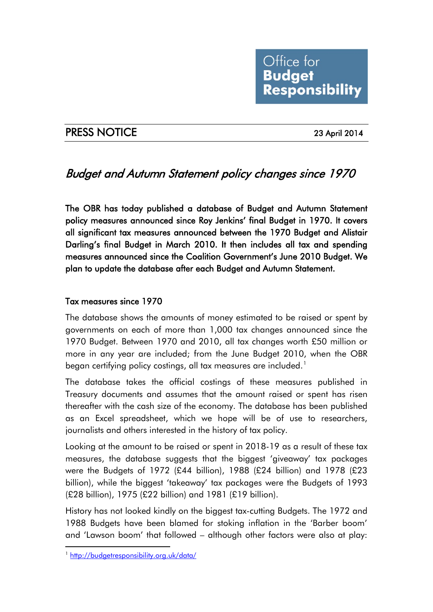

# PRESS NOTICE 23 April 2014

# Budget and Autumn Statement policy changes since 1970

The OBR has today published a database of Budget and Autumn Statement policy measures announced since Roy Jenkins' final Budget in 1970. It covers all significant tax measures announced between the 1970 Budget and Alistair Darling's final Budget in March 2010. It then includes all tax and spending measures announced since the Coalition Government's June 2010 Budget. We plan to update the database after each Budget and Autumn Statement.

### Tax measures since 1970

The database shows the amounts of money estimated to be raised or spent by governments on each of more than 1,000 tax changes announced since the 1970 Budget. Between 1970 and 2010, all tax changes worth £50 million or more in any year are included; from the June Budget 2010, when the OBR began certifying policy costings, all tax measures are included.<sup>[1](#page-0-0)</sup>

The database takes the official costings of these measures published in Treasury documents and assumes that the amount raised or spent has risen thereafter with the cash size of the economy. The database has been published as an Excel spreadsheet, which we hope will be of use to researchers, journalists and others interested in the history of tax policy.

Looking at the amount to be raised or spent in 2018-19 as a result of these tax measures, the database suggests that the biggest 'giveaway' tax packages were the Budgets of 1972 (£44 billion), 1988 (£24 billion) and 1978 (£23 billion), while the biggest 'takeaway' tax packages were the Budgets of 1993 (£28 billion), 1975 (£22 billion) and 1981 (£19 billion).

History has not looked kindly on the biggest tax-cutting Budgets. The 1972 and 1988 Budgets have been blamed for stoking inflation in the 'Barber boom' and 'Lawson boom' that followed – although other factors were also at play:

<span id="page-0-0"></span><sup>1</sup> <http://budgetresponsibility.org.uk/data/>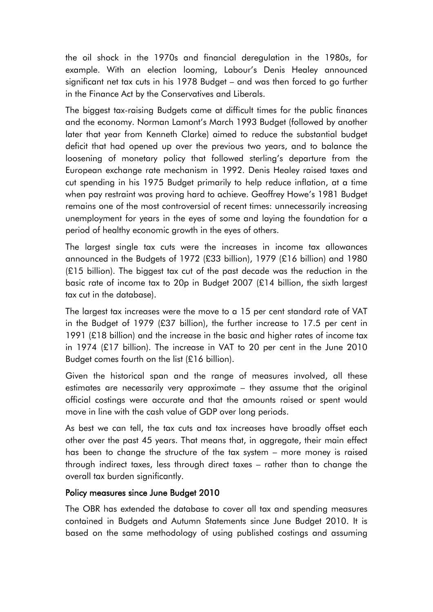the oil shock in the 1970s and financial deregulation in the 1980s, for example. With an election looming, Labour's Denis Healey announced significant net tax cuts in his 1978 Budget – and was then forced to go further in the Finance Act by the Conservatives and Liberals.

The biggest tax-raising Budgets came at difficult times for the public finances and the economy. Norman Lamont's March 1993 Budget (followed by another later that year from Kenneth Clarke) aimed to reduce the substantial budget deficit that had opened up over the previous two years, and to balance the loosening of monetary policy that followed sterling's departure from the European exchange rate mechanism in 1992. Denis Healey raised taxes and cut spending in his 1975 Budget primarily to help reduce inflation, at a time when pay restraint was proving hard to achieve. Geoffrey Howe's 1981 Budget remains one of the most controversial of recent times: unnecessarily increasing unemployment for years in the eyes of some and laying the foundation for a period of healthy economic growth in the eyes of others.

The largest single tax cuts were the increases in income tax allowances announced in the Budgets of 1972 (£33 billion), 1979 (£16 billion) and 1980 (£15 billion). The biggest tax cut of the past decade was the reduction in the basic rate of income tax to 20p in Budget 2007 (£14 billion, the sixth largest tax cut in the database).

The largest tax increases were the move to a 15 per cent standard rate of VAT in the Budget of 1979 (£37 billion), the further increase to 17.5 per cent in 1991 (£18 billion) and the increase in the basic and higher rates of income tax in 1974 (£17 billion). The increase in VAT to 20 per cent in the June 2010 Budget comes fourth on the list (£16 billion).

Given the historical span and the range of measures involved, all these estimates are necessarily very approximate – they assume that the original official costings were accurate and that the amounts raised or spent would move in line with the cash value of GDP over long periods.

As best we can tell, the tax cuts and tax increases have broadly offset each other over the past 45 years. That means that, in aggregate, their main effect has been to change the structure of the tax system – more money is raised through indirect taxes, less through direct taxes – rather than to change the overall tax burden significantly.

#### Policy measures since June Budget 2010

The OBR has extended the database to cover all tax and spending measures contained in Budgets and Autumn Statements since June Budget 2010. It is based on the same methodology of using published costings and assuming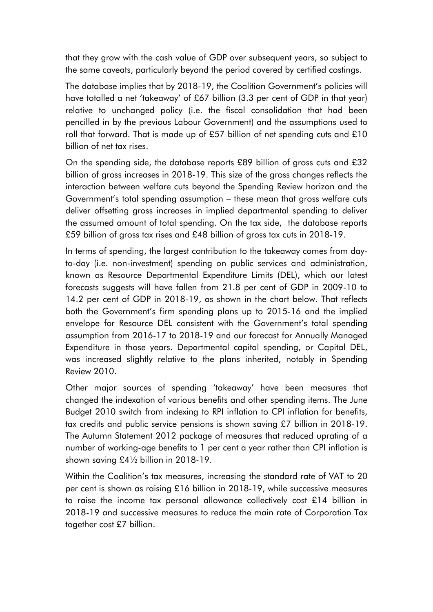that they grow with the cash value of GDP over subsequent years, so subject to the same caveats, particularly beyond the period covered by certified costings.

The database implies that by 2018-19, the Coalition Government's policies will have totalled a net 'takeaway' of £67 billion (3.3 per cent of GDP in that year) relative to unchanged policy (i.e. the fiscal consolidation that had been pencilled in by the previous Labour Government) and the assumptions used to roll that forward. That is made up of £57 billion of net spending cuts and £10 billion of net tax rises.

On the spending side, the database reports £89 billion of gross cuts and £32 billion of gross increases in 2018-19. This size of the gross changes reflects the interaction between welfare cuts beyond the Spending Review horizon and the Government's total spending assumption – these mean that gross welfare cuts deliver offsetting gross increases in implied departmental spending to deliver the assumed amount of total spending. On the tax side, the database reports £59 billion of gross tax rises and £48 billion of gross tax cuts in 2018-19.

In terms of spending, the largest contribution to the takeaway comes from dayto-day (i.e. non-investment) spending on public services and administration, known as Resource Departmental Expenditure Limits (DEL), which our latest forecasts suggests will have fallen from 21.8 per cent of GDP in 2009-10 to 14.2 per cent of GDP in 2018-19, as shown in the chart below. That reflects both the Government's firm spending plans up to 2015-16 and the implied envelope for Resource DEL consistent with the Government's total spending assumption from 2016-17 to 2018-19 and our forecast for Annually Managed Expenditure in those years. Departmental capital spending, or Capital DEL, was increased slightly relative to the plans inherited, notably in Spending Review 2010.

Other major sources of spending 'takeaway' have been measures that changed the indexation of various benefits and other spending items. The June Budget 2010 switch from indexing to RPI inflation to CPI inflation for benefits, tax credits and public service pensions is shown saving £7 billion in 2018-19. The Autumn Statement 2012 package of measures that reduced uprating of a number of working-age benefits to 1 per cent a year rather than CPI inflation is shown saving £4½ billion in 2018-19.

Within the Coalition's tax measures, increasing the standard rate of VAT to 20 per cent is shown as raising £16 billion in 2018-19, while successive measures to raise the income tax personal allowance collectively cost £14 billion in 2018-19 and successive measures to reduce the main rate of Corporation Tax together cost £7 billion.